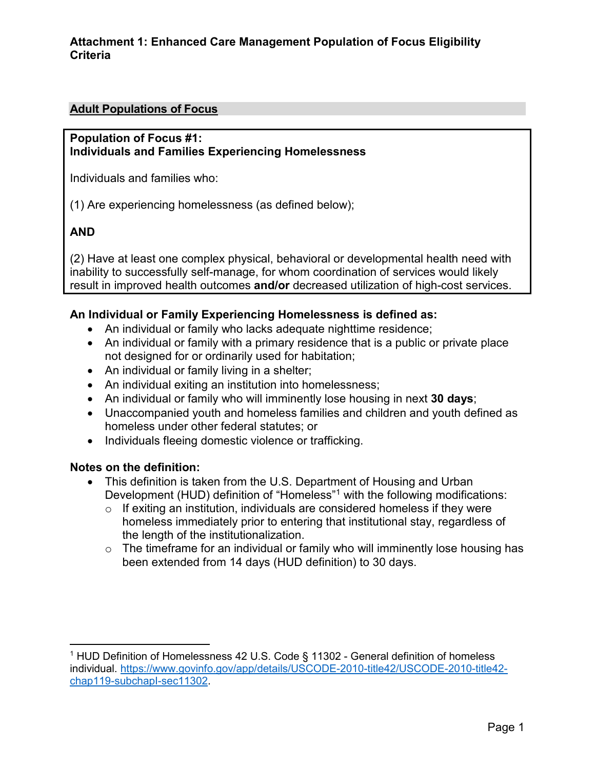## **Adult Populations of Focus**

#### **Population of Focus #1: Individuals and Families Experiencing Homelessness**

Individuals and families who:

(1) Are experiencing homelessness (as defined below);

## **AND**

(2) Have at least one complex physical, behavioral or developmental health need with inability to successfully self-manage, for whom coordination of services would likely result in improved health outcomes **and/or** decreased utilization of high-cost services.

#### **An Individual or Family Experiencing Homelessness is defined as:**

- An individual or family who lacks adequate nighttime residence;
- An individual or family with a primary residence that is a public or private place not designed for or ordinarily used for habitation;
- An individual or family living in a shelter;
- An individual exiting an institution into homelessness;
- An individual or family who will imminently lose housing in next **30 days**;
- Unaccompanied youth and homeless families and children and youth defined as homeless under other federal statutes; or
- Individuals fleeing domestic violence or trafficking.

#### **Notes on the definition:**

- This definition is taken from the U.S. Department of Housing and Urban Development (HUD) definition of "Homeless"<sup>1</sup> with the following modifications:
	- $\circ$  If exiting an institution, individuals are considered homeless if they were homeless immediately prior to entering that institutional stay, regardless of the length of the institutionalization.
	- $\circ$  The timeframe for an individual or family who will imminently lose housing has been extended from 14 days (HUD definition) to 30 days.

 $\overline{a}$  $1$  HUD Definition of Homelessness 42 U.S. Code § 11302 - General definition of homeless individual. [https://www.govinfo.gov/app/details/USCODE-2010-title42/USCODE-2010-title42](https://www.govinfo.gov/app/details/USCODE-2010-title42/USCODE-2010-title42-chap119-subchapI-sec11302) [chap119-subchapI-sec11302.](https://www.govinfo.gov/app/details/USCODE-2010-title42/USCODE-2010-title42-chap119-subchapI-sec11302)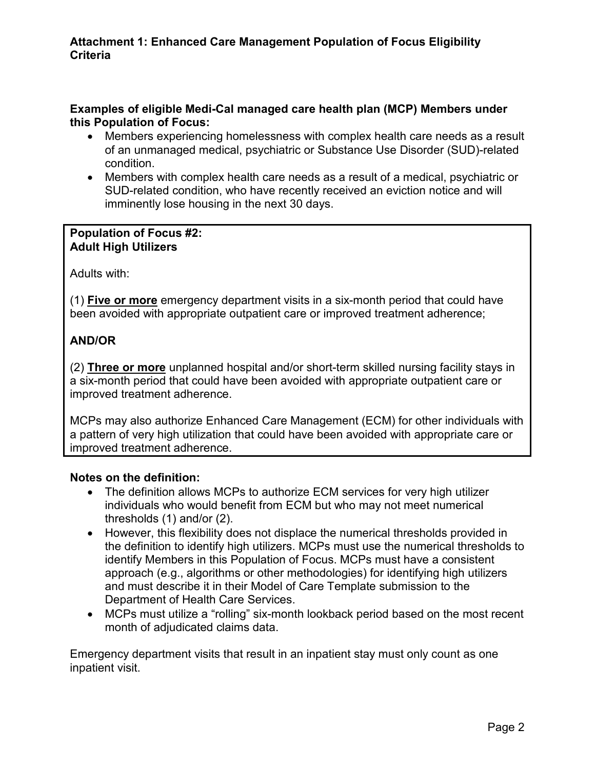#### **Examples of eligible Medi-Cal managed care health plan (MCP) Members under this Population of Focus:**

- Members experiencing homelessness with complex health care needs as a result of an unmanaged medical, psychiatric or Substance Use Disorder (SUD)-related condition.
- Members with complex health care needs as a result of a medical, psychiatric or SUD-related condition, who have recently received an eviction notice and will imminently lose housing in the next 30 days.

#### **Population of Focus #2: Adult High Utilizers**

Adults with:

(1) **Five or more** emergency department visits in a six-month period that could have been avoided with appropriate outpatient care or improved treatment adherence;

# **AND/OR**

(2) **Three or more** unplanned hospital and/or short-term skilled nursing facility stays in a six-month period that could have been avoided with appropriate outpatient care or improved treatment adherence.

MCPs may also authorize Enhanced Care Management (ECM) for other individuals with a pattern of very high utilization that could have been avoided with appropriate care or improved treatment adherence.

## **Notes on the definition:**

- The definition allows MCPs to authorize ECM services for very high utilizer individuals who would benefit from ECM but who may not meet numerical thresholds (1) and/or (2).
- However, this flexibility does not displace the numerical thresholds provided in the definition to identify high utilizers. MCPs must use the numerical thresholds to identify Members in this Population of Focus. MCPs must have a consistent approach (e.g., algorithms or other methodologies) for identifying high utilizers and must describe it in their Model of Care Template submission to the Department of Health Care Services.
- MCPs must utilize a "rolling" six-month lookback period based on the most recent month of adjudicated claims data.

Emergency department visits that result in an inpatient stay must only count as one inpatient visit.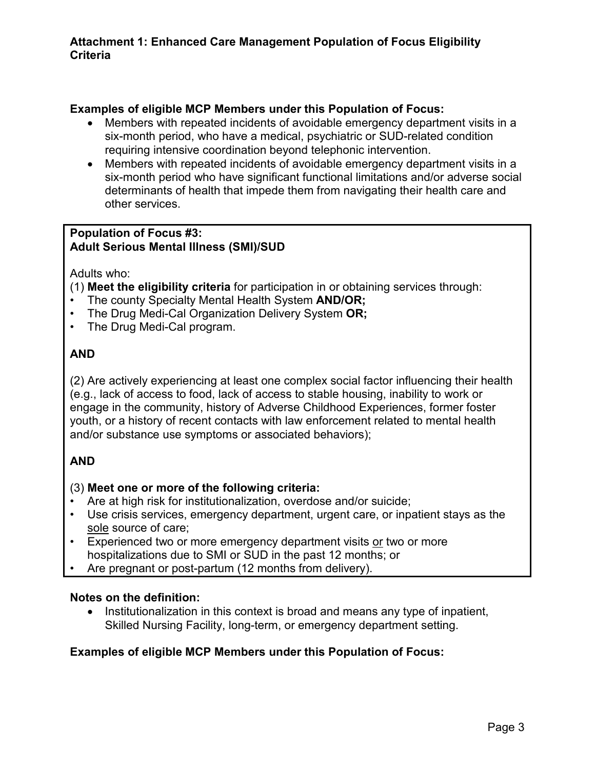## **Examples of eligible MCP Members under this Population of Focus:**

- Members with repeated incidents of avoidable emergency department visits in a six-month period, who have a medical, psychiatric or SUD-related condition requiring intensive coordination beyond telephonic intervention.
- Members with repeated incidents of avoidable emergency department visits in a six-month period who have significant functional limitations and/or adverse social determinants of health that impede them from navigating their health care and other services.

#### **Population of Focus #3: Adult Serious Mental Illness (SMI)/SUD**

Adults who:

#### (1) **Meet the eligibility criteria** for participation in or obtaining services through:

- The county Specialty Mental Health System **AND/OR;**
- The Drug Medi-Cal Organization Delivery System **OR;**
- The Drug Medi-Cal program.

## **AND**

(2) Are actively experiencing at least one complex social factor influencing their health (e.g., lack of access to food, lack of access to stable housing, inability to work or engage in the community, history of Adverse Childhood Experiences, former foster youth, or a history of recent contacts with law enforcement related to mental health and/or substance use symptoms or associated behaviors);

# **AND**

## (3) **Meet one or more of the following criteria:**

- Are at high risk for institutionalization, overdose and/or suicide;
- Use crisis services, emergency department, urgent care, or inpatient stays as the sole source of care;
- Experienced two or more emergency department visits or two or more hospitalizations due to SMI or SUD in the past 12 months; or
- Are pregnant or post-partum (12 months from delivery).

#### **Notes on the definition:**

• Institutionalization in this context is broad and means any type of inpatient, Skilled Nursing Facility, long-term, or emergency department setting.

## **Examples of eligible MCP Members under this Population of Focus:**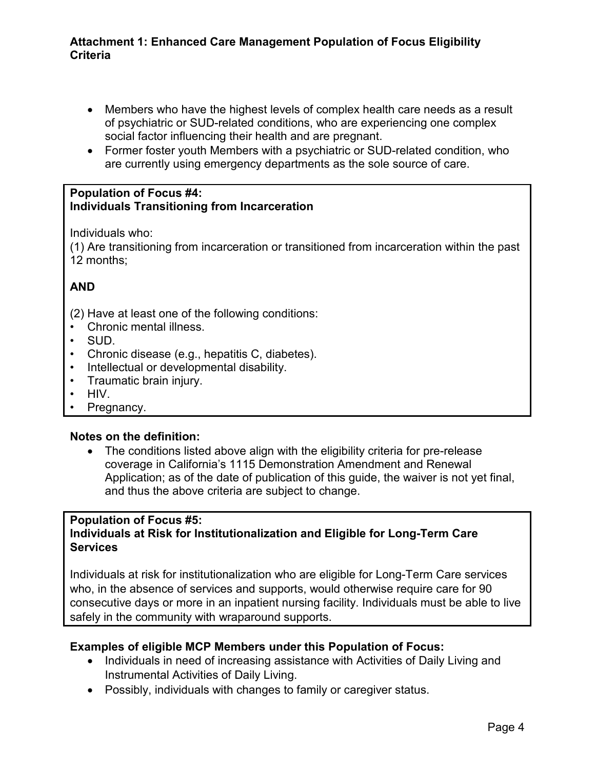#### **Attachment 1: Enhanced Care Management Population of Focus Eligibility Criteria**

- Members who have the highest levels of complex health care needs as a result of psychiatric or SUD-related conditions, who are experiencing one complex social factor influencing their health and are pregnant.
- Former foster youth Members with a psychiatric or SUD-related condition, who are currently using emergency departments as the sole source of care.

#### **Population of Focus #4: Individuals Transitioning from Incarceration**

Individuals who:

(1) Are transitioning from incarceration or transitioned from incarceration within the past 12 months;

# **AND**

- (2) Have at least one of the following conditions:
- Chronic mental illness.
- SUD.
- Chronic disease (e.g., hepatitis C, diabetes).
- Intellectual or developmental disability.
- Traumatic brain injury.
- HIV.
- Pregnancy.

## **Notes on the definition:**

• The conditions listed above align with the eligibility criteria for pre-release coverage in California's 1115 Demonstration Amendment and Renewal Application; as of the date of publication of this guide, the waiver is not yet final, and thus the above criteria are subject to change.

# **Population of Focus #5:**

#### **Individuals at Risk for Institutionalization and Eligible for Long-Term Care Services**

Individuals at risk for institutionalization who are eligible for Long-Term Care services who, in the absence of services and supports, would otherwise require care for 90 consecutive days or more in an inpatient nursing facility. Individuals must be able to live safely in the community with wraparound supports.

## **Examples of eligible MCP Members under this Population of Focus:**

- Individuals in need of increasing assistance with Activities of Daily Living and Instrumental Activities of Daily Living.
- Possibly, individuals with changes to family or caregiver status.